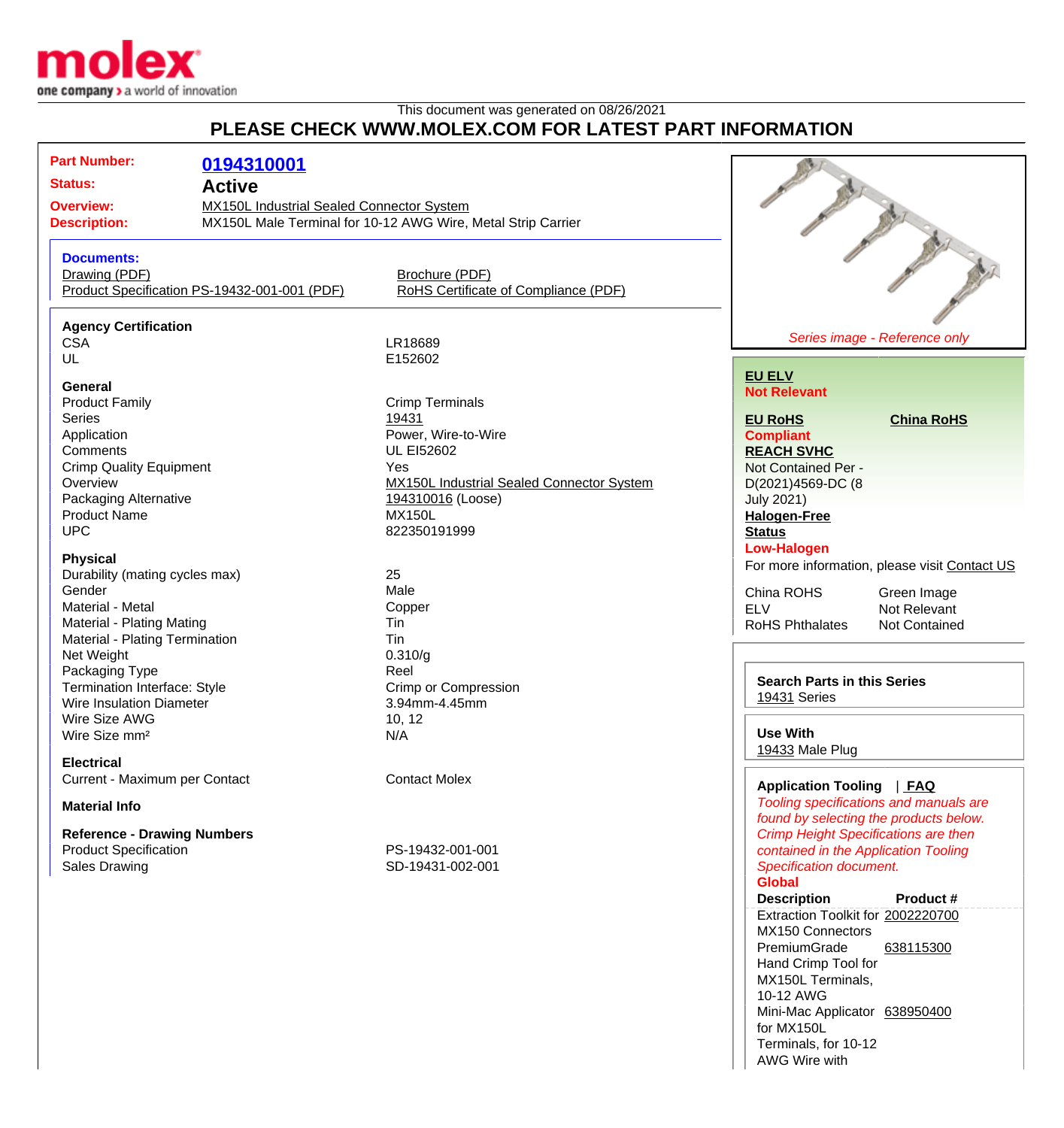

## This document was generated on  $0.08/26/2021$ **PLEASE CHECK WWW.MOLEX.COM FOR LATEST PART INFORMATION**

| PLEASE CHECK WWW.MOLEX.COM FOR LATEST PART INFORMATION                                                                                                                                                                                                                                                                                                                                                                                                                                                                                                                    |                                                                                                                                                                                                                                                                                                                                                |                                                                                                                                                                                                                                                                                                                                                                                                                                                                                                                                                                               |
|---------------------------------------------------------------------------------------------------------------------------------------------------------------------------------------------------------------------------------------------------------------------------------------------------------------------------------------------------------------------------------------------------------------------------------------------------------------------------------------------------------------------------------------------------------------------------|------------------------------------------------------------------------------------------------------------------------------------------------------------------------------------------------------------------------------------------------------------------------------------------------------------------------------------------------|-------------------------------------------------------------------------------------------------------------------------------------------------------------------------------------------------------------------------------------------------------------------------------------------------------------------------------------------------------------------------------------------------------------------------------------------------------------------------------------------------------------------------------------------------------------------------------|
| <b>Part Number:</b><br>0194310001<br><b>Status:</b><br><b>Active</b><br><b>Overview:</b><br><b>Description:</b>                                                                                                                                                                                                                                                                                                                                                                                                                                                           | <b>MX150L Industrial Sealed Connector System</b><br>MX150L Male Terminal for 10-12 AWG Wire, Metal Strip Carrier                                                                                                                                                                                                                               |                                                                                                                                                                                                                                                                                                                                                                                                                                                                                                                                                                               |
| <b>Documents:</b><br>Drawing (PDF)<br>Product Specification PS-19432-001-001 (PDF)                                                                                                                                                                                                                                                                                                                                                                                                                                                                                        | Brochure (PDF)<br>RoHS Certificate of Compliance (PDF)                                                                                                                                                                                                                                                                                         |                                                                                                                                                                                                                                                                                                                                                                                                                                                                                                                                                                               |
| <b>Agency Certification</b><br><b>CSA</b><br>UL                                                                                                                                                                                                                                                                                                                                                                                                                                                                                                                           | LR18689<br>E152602                                                                                                                                                                                                                                                                                                                             | Series image - Reference only                                                                                                                                                                                                                                                                                                                                                                                                                                                                                                                                                 |
| General<br><b>Product Family</b><br><b>Series</b><br>Application<br>Comments<br><b>Crimp Quality Equipment</b><br>Overview<br>Packaging Alternative<br><b>Product Name</b><br><b>UPC</b><br><b>Physical</b><br>Durability (mating cycles max)<br>Gender<br>Material - Metal<br>Material - Plating Mating<br>Material - Plating Termination<br>Net Weight<br>Packaging Type<br>Termination Interface: Style<br><b>Wire Insulation Diameter</b><br>Wire Size AWG<br>Wire Size mm <sup>2</sup><br><b>Electrical</b><br>Current - Maximum per Contact<br><b>Material Info</b> | <b>Crimp Terminals</b><br>19431<br>Power, Wire-to-Wire<br><b>UL EI52602</b><br>Yes<br><b>MX150L Industrial Sealed Connector System</b><br>194310016 (Loose)<br><b>MX150L</b><br>822350191999<br>25<br>Male<br>Copper<br>Tin<br>Tin<br>0.310/g<br>Reel<br><b>Crimp or Compression</b><br>3.94mm-4.45mm<br>10, 12<br>N/A<br><b>Contact Molex</b> | <b>EU ELV</b><br><b>Not Relevant</b><br><b>China RoHS</b><br><b>EU RoHS</b><br><b>Compliant</b><br><b>REACH SVHC</b><br>Not Contained Per -<br>D(2021)4569-DC (8<br><b>July 2021)</b><br><b>Halogen-Free</b><br><b>Status</b><br><b>Low-Halogen</b><br>For more information, please visit Contact US<br>China ROHS<br>Green Image<br><b>ELV</b><br>Not Relevant<br><b>RoHS Phthalates</b><br>Not Contained<br><b>Search Parts in this Series</b><br>19431 Series<br><b>Use With</b><br>19433 Male Plug<br>Application Tooling   FAQ<br>Tooling specifications and manuals are |
| <b>Reference - Drawing Numbers</b><br><b>Product Specification</b><br><b>Sales Drawing</b>                                                                                                                                                                                                                                                                                                                                                                                                                                                                                | PS-19432-001-001<br>SD-19431-002-001                                                                                                                                                                                                                                                                                                           | found by selecting the products below.<br><b>Crimp Height Specifications are then</b><br>contained in the Application Tooling<br><b>Specification document.</b><br><b>Global</b><br><b>Description</b><br>Product #<br>Extraction Toolkit for 2002220700<br>MX150 Connectors<br>PremiumGrade<br>638115300<br>Hand Crimp Tool for<br>MX150L Terminals,                                                                                                                                                                                                                         |

10-12 AWG

for MX150L

Terminals, for 10-12 AWG Wire with

Mini-Mac Applicator [638950400](http://www.molex.com/molex/products/datasheet.jsp?part=active/0638950400_APPLICATION_TOOLIN.xml)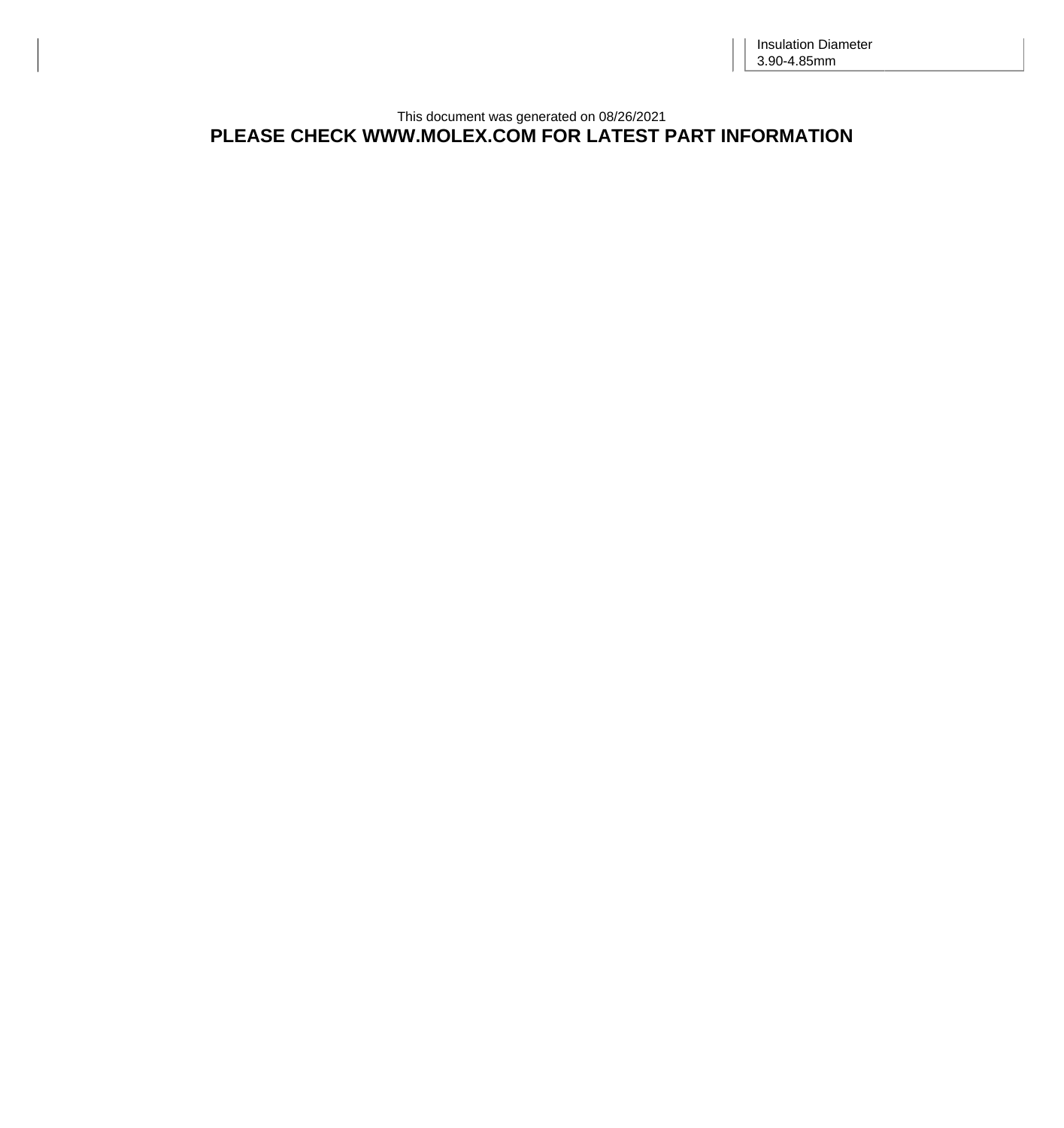## This document was generated on 08/26/2021 **PLEASE CHECK WWW.MOLEX.COM FOR LATEST PART INFORMATION**